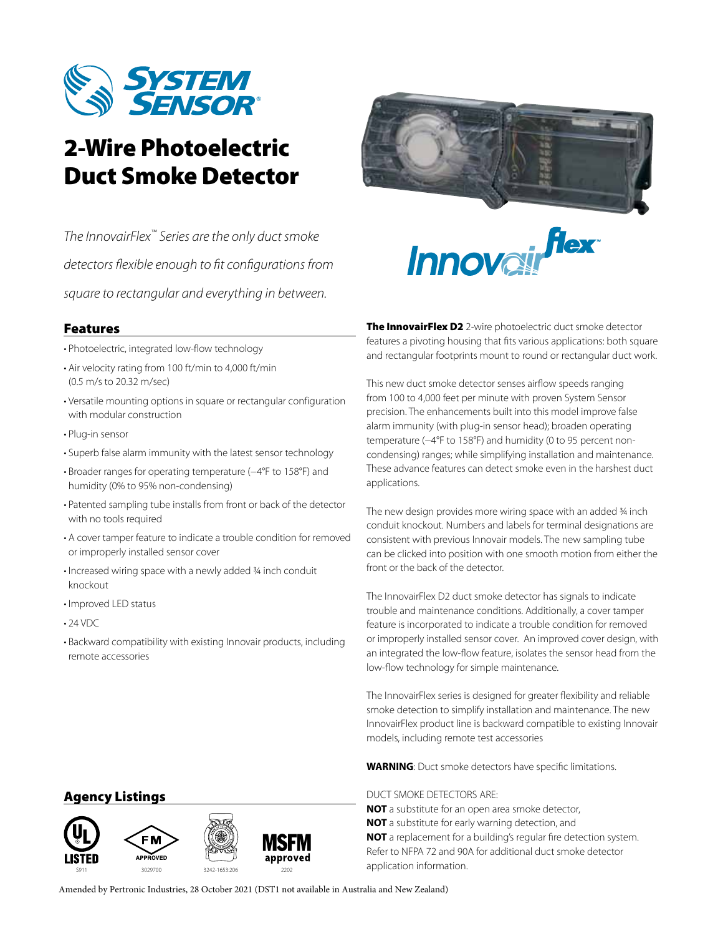

# 2-Wire Photoelectric Duct Smoke Detector

*The InnovairFlex™ Series are the only duct smoke detectors flexible enough to fit configurations from square to rectangular and everything in between.*

## Features

- Photoelectric, integrated low-flow technology
- Air velocity rating from 100 ft/min to 4,000 ft/min (0.5 m/s to 20.32 m/sec)
- Versatile mounting options in square or rectangular configuration with modular construction
- Plug-in sensor
- Superb false alarm immunity with the latest sensor technology
- Broader ranges for operating temperature (−4°F to 158°F) and humidity (0% to 95% non-condensing)
- Patented sampling tube installs from front or back of the detector with no tools required
- A cover tamper feature to indicate a trouble condition for removed or improperly installed sensor cover
- Increased wiring space with a newly added ¾ inch conduit knockout
- Improved LED status
- 24 VDC
- Backward compatibility with existing Innovair products, including remote accessories



. flex Innoval

The InnovairFlex D2 2-wire photoelectric duct smoke detector features a pivoting housing that fits various applications: both square and rectangular footprints mount to round or rectangular duct work.

This new duct smoke detector senses airflow speeds ranging from 100 to 4,000 feet per minute with proven System Sensor precision. The enhancements built into this model improve false alarm immunity (with plug-in sensor head); broaden operating temperature (−4°F to 158°F) and humidity (0 to 95 percent noncondensing) ranges; while simplifying installation and maintenance. These advance features can detect smoke even in the harshest duct applications.

The new design provides more wiring space with an added 34 inch conduit knockout. Numbers and labels for terminal designations are consistent with previous Innovair models. The new sampling tube can be clicked into position with one smooth motion from either the front or the back of the detector.

The InnovairFlex D2 duct smoke detector has signals to indicate trouble and maintenance conditions. Additionally, a cover tamper feature is incorporated to indicate a trouble condition for removed or improperly installed sensor cover. An improved cover design, with an integrated the low-flow feature, isolates the sensor head from the low-flow technology for simple maintenance.

The InnovairFlex series is designed for greater flexibility and reliable smoke detection to simplify installation and maintenance. The new InnovairFlex product line is backward compatible to existing Innovair models, including remote test accessories

**WARNING**: Duct smoke detectors have specific limitations.

#### DUCT SMOKE DETECTORS ARE:

**NOT** a substitute for an open area smoke detector, **NOT** a substitute for early warning detection, and **NOT** a replacement for a building's regular fire detection system. Refer to NFPA 72 and 90A for additional duct smoke detector

## Agency Listings



Amended by Pertronic Industries, 28 October 2021 (DST1 not available in Australia and New Zealand)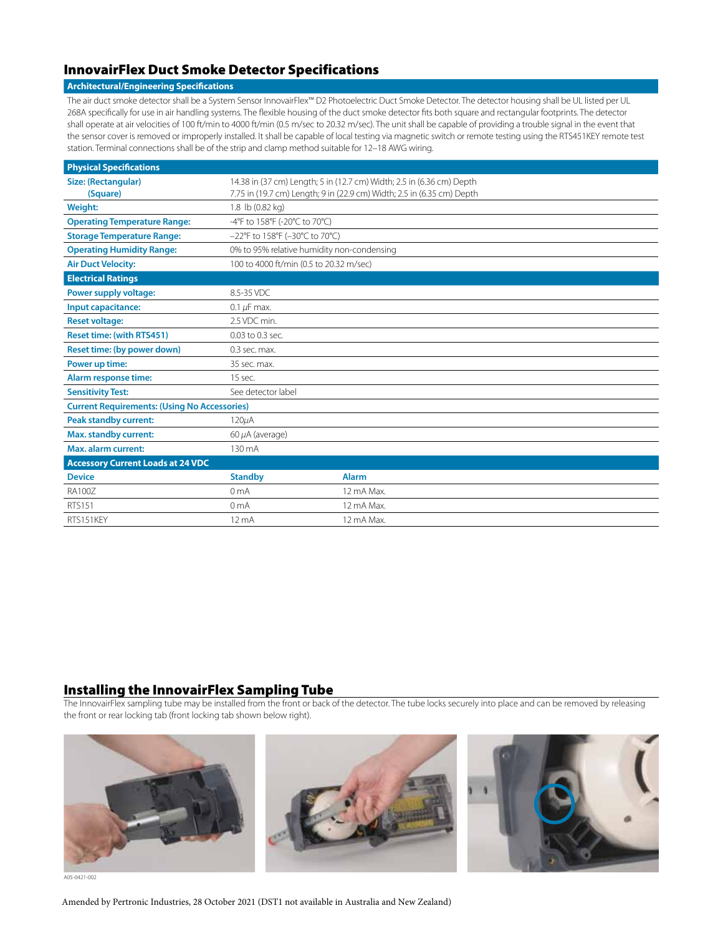## InnovairFlex Duct Smoke Detector Specifications

#### **Architectural/Engineering Specifications**

The air duct smoke detector shall be a System Sensor InnovairFlex™ D2 Photoelectric Duct Smoke Detector. The detector housing shall be UL listed per UL 268A specifically for use in air handling systems. The flexible housing of the duct smoke detector fits both square and rectangular footprints. The detector shall operate at air velocities of 100 ft/min to 4000 ft/min (0.5 m/sec to 20.32 m/sec). The unit shall be capable of providing a trouble signal in the event that the sensor cover is removed or improperly installed. It shall be capable of local testing via magnetic switch or remote testing using the RTS451KEY remote test station. Terminal connections shall be of the strip and clamp method suitable for 12–18 AWG wiring.

| <b>Physical Specifications</b>                      |                                                                        |              |  |
|-----------------------------------------------------|------------------------------------------------------------------------|--------------|--|
| Size: (Rectangular)                                 | 14.38 in (37 cm) Length; 5 in (12.7 cm) Width; 2.5 in (6.36 cm) Depth  |              |  |
| (Square)                                            | 7.75 in (19.7 cm) Length; 9 in (22.9 cm) Width; 2.5 in (6.35 cm) Depth |              |  |
| Weight:                                             | 1.8 lb (0.82 kg)                                                       |              |  |
| <b>Operating Temperature Range:</b>                 | -4°F to 158°F (-20°C to 70°C)                                          |              |  |
| <b>Storage Temperature Range:</b>                   | -22°F to 158°F (-30°C to 70°C)                                         |              |  |
| <b>Operating Humidity Range:</b>                    | 0% to 95% relative humidity non-condensing                             |              |  |
| <b>Air Duct Velocity:</b>                           | 100 to 4000 ft/min (0.5 to 20.32 m/sec)                                |              |  |
| <b>Electrical Ratings</b>                           |                                                                        |              |  |
| Power supply voltage:                               | 8.5-35 VDC                                                             |              |  |
| Input capacitance:                                  | 0.1 $\mu$ F max.                                                       |              |  |
| <b>Reset voltage:</b>                               | 2.5 VDC min.                                                           |              |  |
| <b>Reset time: (with RTS451)</b>                    | 0.03 to 0.3 sec.                                                       |              |  |
| Reset time: (by power down)                         | 0.3 sec. max.                                                          |              |  |
| Power up time:                                      | 35 sec. max.                                                           |              |  |
| Alarm response time:                                | 15 sec.                                                                |              |  |
| <b>Sensitivity Test:</b>                            | See detector label                                                     |              |  |
| <b>Current Requirements: (Using No Accessories)</b> |                                                                        |              |  |
| <b>Peak standby current:</b>                        | $120\mu$ A                                                             |              |  |
| <b>Max. standby current:</b>                        | 60 µA (average)                                                        |              |  |
| <b>Max. alarm current:</b>                          | 130 mA                                                                 |              |  |
| <b>Accessory Current Loads at 24 VDC</b>            |                                                                        |              |  |
| <b>Device</b>                                       | <b>Standby</b>                                                         | <b>Alarm</b> |  |
| <b>RA100Z</b>                                       | 0 <sub>m</sub> A                                                       | 12 mA Max.   |  |
| RTS151                                              | 0 <sub>m</sub> A                                                       | 12 mA Max.   |  |
| RTS151KEY                                           | 12 <sub>m</sub> A                                                      | 12 mA Max.   |  |

#### Installing the InnovairFlex Sampling Tube

The InnovairFlex sampling tube may be installed from the front or back of the detector. The tube locks securely into place and can be removed by releasing the front or rear locking tab (front locking tab shown below right).



A05-0421-002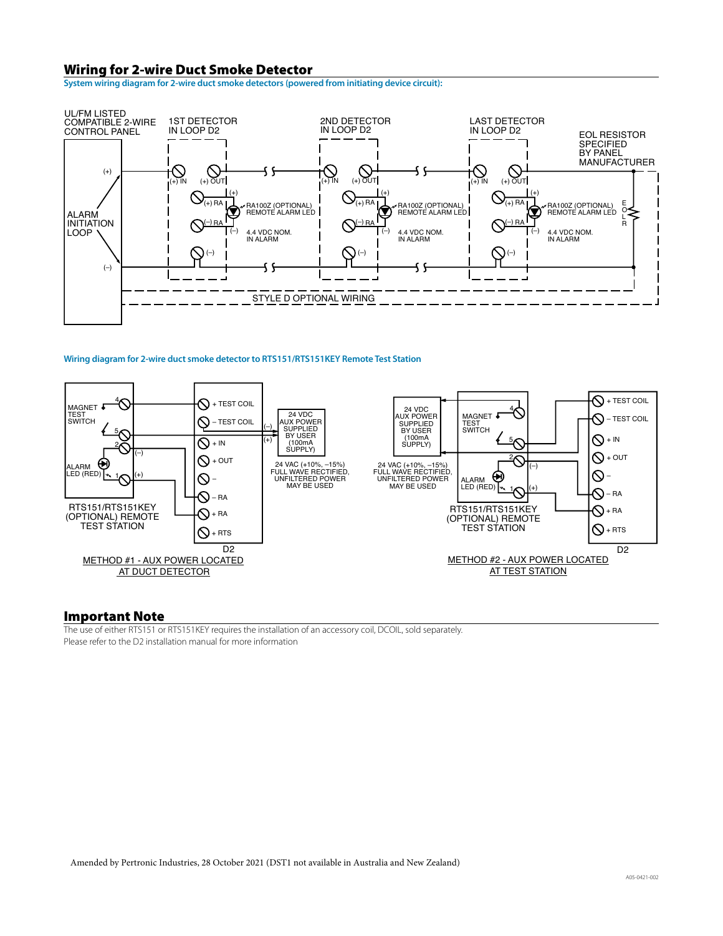#### Wiring for 2-wire Duct Smoke Detector

**System wiring diagram for 2-wire duct smoke detectors (powered from initiating device circuit):**



#### **Wiring diagram for 2-wire duct smoke detector to RTS151/RTS151KEY Remote Test Station**



#### Important Note

The use of either RTS151 or RTS151KEY requires the installation of an accessory coil, DCOIL, sold separately. Please refer to the D2 installation manual for more information